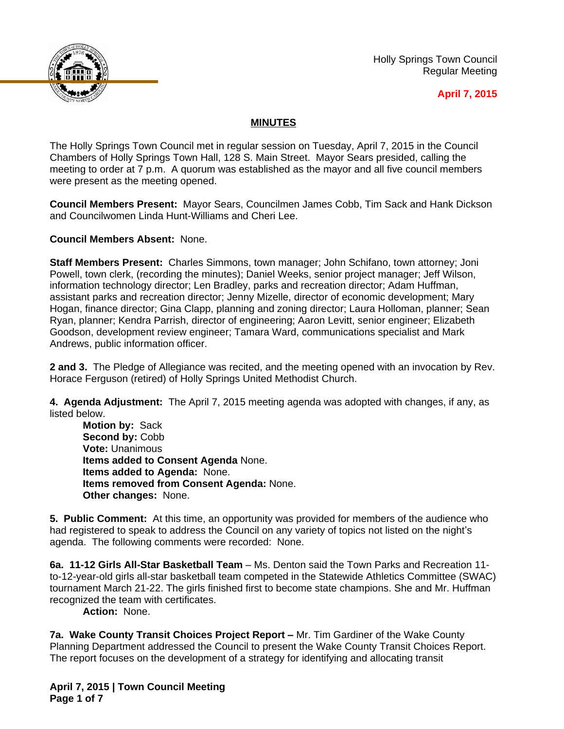

Holly Springs Town Council Regular Meeting

## **April 7, 2015**

## **MINUTES**

The Holly Springs Town Council met in regular session on Tuesday, April 7, 2015 in the Council Chambers of Holly Springs Town Hall, 128 S. Main Street. Mayor Sears presided, calling the meeting to order at 7 p.m. A quorum was established as the mayor and all five council members were present as the meeting opened.

**Council Members Present:** Mayor Sears, Councilmen James Cobb, Tim Sack and Hank Dickson and Councilwomen Linda Hunt-Williams and Cheri Lee.

**Council Members Absent:** None.

**Staff Members Present:** Charles Simmons, town manager; John Schifano, town attorney; Joni Powell, town clerk, (recording the minutes); Daniel Weeks, senior project manager; Jeff Wilson, information technology director; Len Bradley, parks and recreation director; Adam Huffman, assistant parks and recreation director; Jenny Mizelle, director of economic development; Mary Hogan, finance director; Gina Clapp, planning and zoning director; Laura Holloman, planner; Sean Ryan, planner; Kendra Parrish, director of engineering; Aaron Levitt, senior engineer; Elizabeth Goodson, development review engineer; Tamara Ward, communications specialist and Mark Andrews, public information officer.

**2 and 3.** The Pledge of Allegiance was recited, and the meeting opened with an invocation by Rev. Horace Ferguson (retired) of Holly Springs United Methodist Church.

**4. Agenda Adjustment:** The April 7, 2015 meeting agenda was adopted with changes, if any, as listed below.

**Motion by:** Sack Second by: Cobb **Vote:** Unanimous **Items added to Consent Agenda** None. **Items added to Agenda:** None. **Items removed from Consent Agenda:** None. **Other changes:** None.

**5. Public Comment:** At this time, an opportunity was provided for members of the audience who had registered to speak to address the Council on any variety of topics not listed on the night's agenda. The following comments were recorded: None.

**6a. 11-12 Girls All-Star Basketball Team** – Ms. Denton said the Town Parks and Recreation 11 to-12-year-old girls all-star basketball team competed in the Statewide Athletics Committee (SWAC) tournament March 21-22. The girls finished first to become state champions. She and Mr. Huffman recognized the team with certificates.

**Action:** None.

**7a. Wake County Transit Choices Project Report – Mr. Tim Gardiner of the Wake County** Planning Department addressed the Council to present the Wake County Transit Choices Report. The report focuses on the development of a strategy for identifying and allocating transit

**April 7, 2015 | Town Council Meeting Page 1 of 7**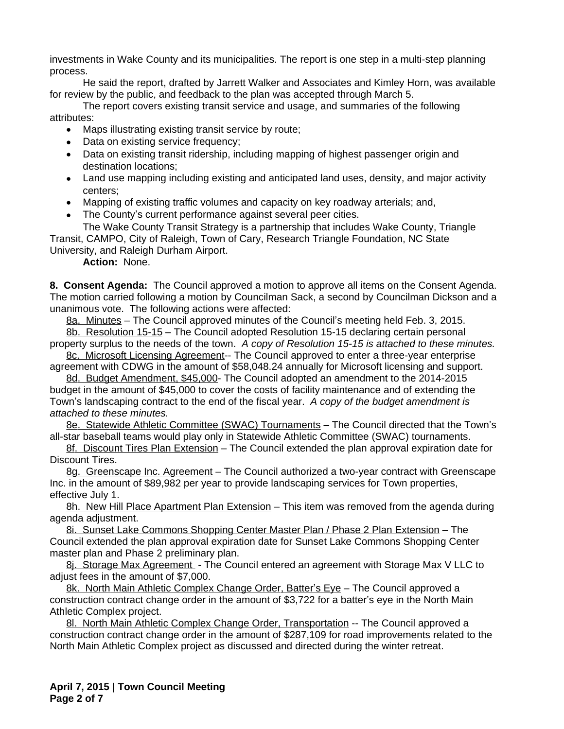investments in Wake County and its municipalities. The report is one step in a multi-step planning process.

He said the report, drafted by Jarrett Walker and Associates and Kimley Horn, was available for review by the public, and feedback to the plan was accepted through March 5.

The report covers existing transit service and usage, and summaries of the following attributes:

- Maps illustrating existing transit service by route;
- Data on existing service frequency;
- Data on existing transit ridership, including mapping of highest passenger origin and destination locations;
- Land use mapping including existing and anticipated land uses, density, and major activity centers;
- Mapping of existing traffic volumes and capacity on key roadway arterials; and,
- The County's current performance against several peer cities.

The Wake County Transit Strategy is a partnership that includes Wake County, Triangle Transit, CAMPO, City of Raleigh, Town of Cary, Research Triangle Foundation, NC State University, and Raleigh Durham Airport.

**Action:** None.

**8. Consent Agenda:** The Council approved a motion to approve all items on the Consent Agenda. The motion carried following a motion by Councilman Sack, a second by Councilman Dickson and a unanimous vote. The following actions were affected:

8a. Minutes – The Council approved minutes of the Council's meeting held Feb. 3, 2015. 8b. Resolution 15-15 – The Council adopted Resolution 15-15 declaring certain personal

property surplus to the needs of the town. *A copy of Resolution 15-15 is attached to these minutes.* 8c. Microsoft Licensing Agreement-- The Council approved to enter a three-year enterprise

agreement with CDWG in the amount of \$58,048.24 annually for Microsoft licensing and support.

8d. Budget Amendment, \$45,000- The Council adopted an amendment to the 2014-2015 budget in the amount of \$45,000 to cover the costs of facility maintenance and of extending the Town's landscaping contract to the end of the fiscal year. *A copy of the budget amendment is attached to these minutes.*

8e. Statewide Athletic Committee (SWAC) Tournaments - The Council directed that the Town's all-star baseball teams would play only in Statewide Athletic Committee (SWAC) tournaments.

8f. Discount Tires Plan Extension – The Council extended the plan approval expiration date for Discount Tires.

8g. Greenscape Inc. Agreement – The Council authorized a two-year contract with Greenscape Inc. in the amount of \$89,982 per year to provide landscaping services for Town properties, effective July 1.

8h. New Hill Place Apartment Plan Extension – This item was removed from the agenda during agenda adjustment.

8i. Sunset Lake Commons Shopping Center Master Plan / Phase 2 Plan Extension – The Council extended the plan approval expiration date for Sunset Lake Commons Shopping Center master plan and Phase 2 preliminary plan.

8j. Storage Max Agreement - The Council entered an agreement with Storage Max V LLC to adjust fees in the amount of \$7,000.

8k. North Main Athletic Complex Change Order, Batter's Eye – The Council approved a construction contract change order in the amount of \$3,722 for a batter's eye in the North Main Athletic Complex project.

8l. North Main Athletic Complex Change Order, Transportation -- The Council approved a construction contract change order in the amount of \$287,109 for road improvements related to the North Main Athletic Complex project as discussed and directed during the winter retreat.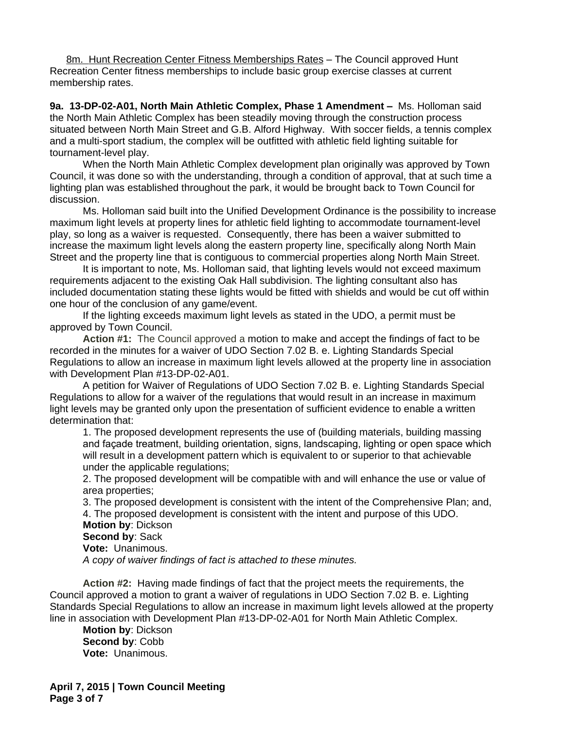8m. Hunt Recreation Center Fitness Memberships Rates – The Council approved Hunt Recreation Center fitness memberships to include basic group exercise classes at current membership rates.

**9a. 13-DP-02-A01, North Main Athletic Complex, Phase 1 Amendment –** Ms. Holloman said the North Main Athletic Complex has been steadily moving through the construction process situated between North Main Street and G.B. Alford Highway. With soccer fields, a tennis complex and a multi-sport stadium, the complex will be outfitted with athletic field lighting suitable for tournament-level play.

When the North Main Athletic Complex development plan originally was approved by Town Council, it was done so with the understanding, through a condition of approval, that at such time a lighting plan was established throughout the park, it would be brought back to Town Council for discussion.

Ms. Holloman said built into the Unified Development Ordinance is the possibility to increase maximum light levels at property lines for athletic field lighting to accommodate tournament-level play, so long as a waiver is requested. Consequently, there has been a waiver submitted to increase the maximum light levels along the eastern property line, specifically along North Main Street and the property line that is contiguous to commercial properties along North Main Street.

It is important to note, Ms. Holloman said, that lighting levels would not exceed maximum requirements adjacent to the existing Oak Hall subdivision. The lighting consultant also has included documentation stating these lights would be fitted with shields and would be cut off within one hour of the conclusion of any game/event.

If the lighting exceeds maximum light levels as stated in the UDO, a permit must be approved by Town Council.

**Action #1:** The Council approved a motion to make and accept the findings of fact to be recorded in the minutes for a waiver of UDO Section 7.02 B. e. Lighting Standards Special Regulations to allow an increase in maximum light levels allowed at the property line in association with Development Plan #13-DP-02-A01.

A petition for Waiver of Regulations of UDO Section 7.02 B. e. Lighting Standards Special Regulations to allow for a waiver of the regulations that would result in an increase in maximum light levels may be granted only upon the presentation of sufficient evidence to enable a written determination that:

1. The proposed development represents the use of (building materials, building massing and façade treatment, building orientation, signs, landscaping, lighting or open space which will result in a development pattern which is equivalent to or superior to that achievable under the applicable regulations;

2. The proposed development will be compatible with and will enhance the use or value of area properties;

3. The proposed development is consistent with the intent of the Comprehensive Plan; and, 4. The proposed development is consistent with the intent and purpose of this UDO. **Motion by**: Dickson **Second by**: Sack

**Vote:** Unanimous.

*A copy of waiver findings of fact is attached to these minutes.*

**Action #2:** Having made findings of fact that the project meets the requirements, the Council approved a motion to grant a waiver of regulations in UDO Section 7.02 B. e. Lighting Standards Special Regulations to allow an increase in maximum light levels allowed at the property line in association with Development Plan #13-DP-02-A01 for North Main Athletic Complex.

**Motion by**: Dickson **Second by**: Cobb **Vote:** Unanimous.

**April 7, 2015 | Town Council Meeting Page 3 of 7**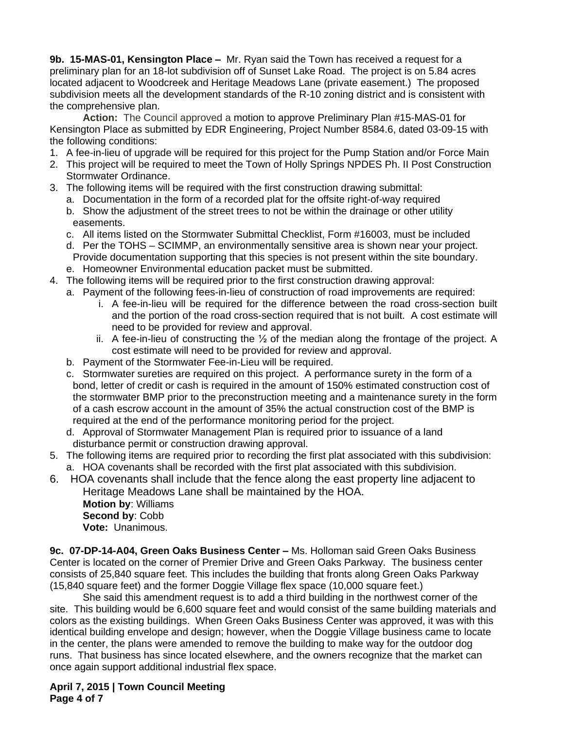**9b. 15-MAS-01, Kensington Place –** Mr. Ryan said the Town has received a request for a preliminary plan for an 18-lot subdivision off of Sunset Lake Road. The project is on 5.84 acres located adjacent to Woodcreek and Heritage Meadows Lane (private easement.) The proposed subdivision meets all the development standards of the R-10 zoning district and is consistent with the comprehensive plan.

**Action:** The Council approved a motion to approve Preliminary Plan #15-MAS-01 for Kensington Place as submitted by EDR Engineering, Project Number 8584.6, dated 03-09-15 with the following conditions:

- 1. A fee-in-lieu of upgrade will be required for this project for the Pump Station and/or Force Main
- 2. This project will be required to meet the Town of Holly Springs NPDES Ph. II Post Construction Stormwater Ordinance.
- 3. The following items will be required with the first construction drawing submittal:
	- a. Documentation in the form of a recorded plat for the offsite right-of-way required
	- b. Show the adjustment of the street trees to not be within the drainage or other utility easements.
	- c. All items listed on the Stormwater Submittal Checklist, Form #16003, must be included
	- d. Per the TOHS SCIMMP, an environmentally sensitive area is shown near your project. Provide documentation supporting that this species is not present within the site boundary.
	- e. Homeowner Environmental education packet must be submitted.
- 4. The following items will be required prior to the first construction drawing approval:
	- a. Payment of the following fees-in-lieu of construction of road improvements are required:
		- i. A fee-in-lieu will be required for the difference between the road cross-section built and the portion of the road cross-section required that is not built. A cost estimate will need to be provided for review and approval.
		- ii. A fee-in-lieu of constructing the  $\frac{1}{2}$  of the median along the frontage of the project. A cost estimate will need to be provided for review and approval.
	- b. Payment of the Stormwater Fee-in-Lieu will be required.
	- c. Stormwater sureties are required on this project. A performance surety in the form of a bond, letter of credit or cash is required in the amount of 150% estimated construction cost of the stormwater BMP prior to the preconstruction meeting and a maintenance surety in the form of a cash escrow account in the amount of 35% the actual construction cost of the BMP is required at the end of the performance monitoring period for the project.
	- d. Approval of Stormwater Management Plan is required prior to issuance of a land disturbance permit or construction drawing approval.
- 5. The following items are required prior to recording the first plat associated with this subdivision: a. HOA covenants shall be recorded with the first plat associated with this subdivision.
- 6. HOA covenants shall include that the fence along the east property line adjacent to Heritage Meadows Lane shall be maintained by the HOA.

**Motion by**: Williams **Second by**: Cobb **Vote:** Unanimous.

**9c. 07-DP-14-A04, Green Oaks Business Center –** Ms. Holloman said Green Oaks Business Center is located on the corner of Premier Drive and Green Oaks Parkway. The business center consists of 25,840 square feet. This includes the building that fronts along Green Oaks Parkway (15,840 square feet) and the former Doggie Village flex space (10,000 square feet.)

She said this amendment request is to add a third building in the northwest corner of the site. This building would be 6,600 square feet and would consist of the same building materials and colors as the existing buildings. When Green Oaks Business Center was approved, it was with this identical building envelope and design; however, when the Doggie Village business came to locate in the center, the plans were amended to remove the building to make way for the outdoor dog runs. That business has since located elsewhere, and the owners recognize that the market can once again support additional industrial flex space.

**April 7, 2015 | Town Council Meeting Page 4 of 7**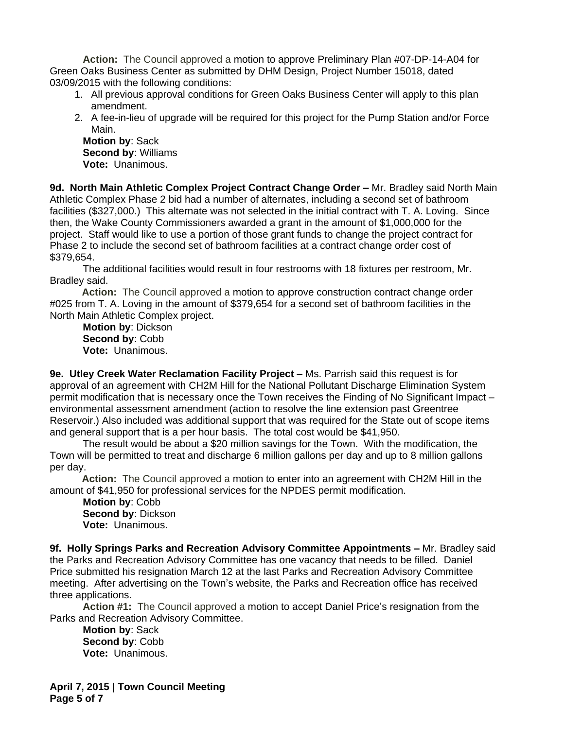**Action:** The Council approved a motion to approve Preliminary Plan #07-DP-14-A04 for Green Oaks Business Center as submitted by DHM Design, Project Number 15018, dated 03/09/2015 with the following conditions:

- 1. All previous approval conditions for Green Oaks Business Center will apply to this plan amendment.
- 2. A fee-in-lieu of upgrade will be required for this project for the Pump Station and/or Force Main.

**Motion by**: Sack **Second by**: Williams **Vote:** Unanimous.

9d. North Main Athletic Complex Project Contract Change Order - Mr. Bradley said North Main Athletic Complex Phase 2 bid had a number of alternates, including a second set of bathroom facilities (\$327,000.) This alternate was not selected in the initial contract with T. A. Loving. Since then, the Wake County Commissioners awarded a grant in the amount of \$1,000,000 for the project. Staff would like to use a portion of those grant funds to change the project contract for Phase 2 to include the second set of bathroom facilities at a contract change order cost of \$379,654.

The additional facilities would result in four restrooms with 18 fixtures per restroom, Mr. Bradley said.

**Action:** The Council approved a motion to approve construction contract change order #025 from T. A. Loving in the amount of \$379,654 for a second set of bathroom facilities in the North Main Athletic Complex project.

**Motion by**: Dickson **Second by**: Cobb **Vote:** Unanimous.

**9e. Utley Creek Water Reclamation Facility Project –** Ms. Parrish said this request is for approval of an agreement with CH2M Hill for the National Pollutant Discharge Elimination System permit modification that is necessary once the Town receives the Finding of No Significant Impact – environmental assessment amendment (action to resolve the line extension past Greentree Reservoir.) Also included was additional support that was required for the State out of scope items and general support that is a per hour basis. The total cost would be \$41,950.

The result would be about a \$20 million savings for the Town. With the modification, the Town will be permitted to treat and discharge 6 million gallons per day and up to 8 million gallons per day.

**Action:** The Council approved a motion to enter into an agreement with CH2M Hill in the amount of \$41,950 for professional services for the NPDES permit modification.

**Motion by**: Cobb **Second by**: Dickson **Vote:** Unanimous.

**9f. Holly Springs Parks and Recreation Advisory Committee Appointments –** Mr. Bradley said the Parks and Recreation Advisory Committee has one vacancy that needs to be filled. Daniel Price submitted his resignation March 12 at the last Parks and Recreation Advisory Committee meeting. After advertising on the Town's website, the Parks and Recreation office has received three applications.

**Action #1:** The Council approved a motion to accept Daniel Price's resignation from the Parks and Recreation Advisory Committee.

**Motion by**: Sack **Second by**: Cobb **Vote:** Unanimous.

**April 7, 2015 | Town Council Meeting Page 5 of 7**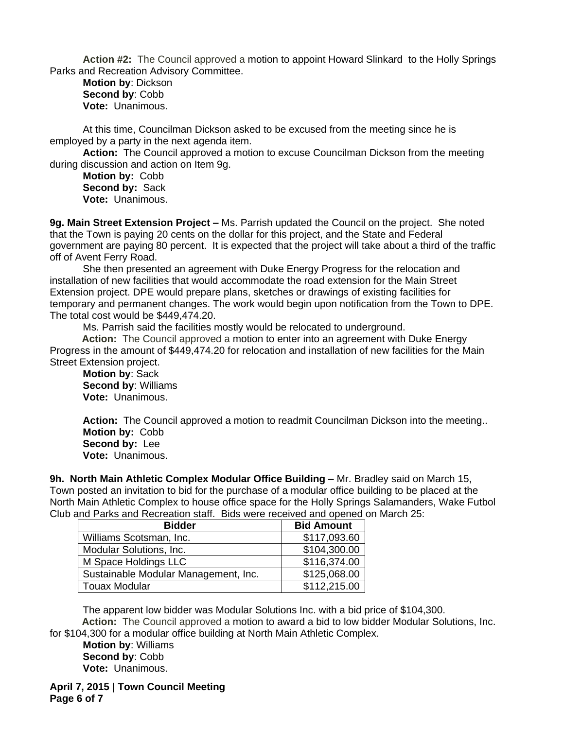**Action #2:** The Council approved a motion to appoint Howard Slinkard to the Holly Springs Parks and Recreation Advisory Committee.

**Motion by**: Dickson **Second by**: Cobb **Vote:** Unanimous.

At this time, Councilman Dickson asked to be excused from the meeting since he is employed by a party in the next agenda item.

**Action:** The Council approved a motion to excuse Councilman Dickson from the meeting during discussion and action on Item 9g.

**Motion by:** Cobb **Second by:** Sack **Vote:** Unanimous.

**9g. Main Street Extension Project –** Ms. Parrish updated the Council on the project. She noted that the Town is paying 20 cents on the dollar for this project, and the State and Federal government are paying 80 percent. It is expected that the project will take about a third of the traffic off of Avent Ferry Road.

She then presented an agreement with Duke Energy Progress for the relocation and installation of new facilities that would accommodate the road extension for the Main Street Extension project. DPE would prepare plans, sketches or drawings of existing facilities for temporary and permanent changes. The work would begin upon notification from the Town to DPE. The total cost would be \$449,474.20.

Ms. Parrish said the facilities mostly would be relocated to underground.

**Action:** The Council approved a motion to enter into an agreement with Duke Energy Progress in the amount of \$449,474.20 for relocation and installation of new facilities for the Main Street Extension project.

**Motion by**: Sack **Second by**: Williams **Vote:** Unanimous.

Action: The Council approved a motion to readmit Councilman Dickson into the meeting.. **Motion by:** Cobb **Second by:** Lee **Vote:** Unanimous.

**9h. North Main Athletic Complex Modular Office Building –** Mr. Bradley said on March 15, Town posted an invitation to bid for the purchase of a modular office building to be placed at the North Main Athletic Complex to house office space for the Holly Springs Salamanders, Wake Futbol Club and Parks and Recreation staff. Bids were received and opened on March 25:

| <b>Bidder</b>                        | <b>Bid Amount</b> |
|--------------------------------------|-------------------|
| Williams Scotsman, Inc.              | \$117,093.60      |
| Modular Solutions, Inc.              | \$104,300.00      |
| M Space Holdings LLC                 | \$116,374.00      |
| Sustainable Modular Management, Inc. | \$125,068.00      |
| <b>Touax Modular</b>                 | \$112,215.00      |

The apparent low bidder was Modular Solutions Inc. with a bid price of \$104,300. **Action:** The Council approved a motion to award a bid to low bidder Modular Solutions, Inc.

for \$104,300 for a modular office building at North Main Athletic Complex.

**Motion by**: Williams **Second by**: Cobb **Vote:** Unanimous.

**April 7, 2015 | Town Council Meeting Page 6 of 7**